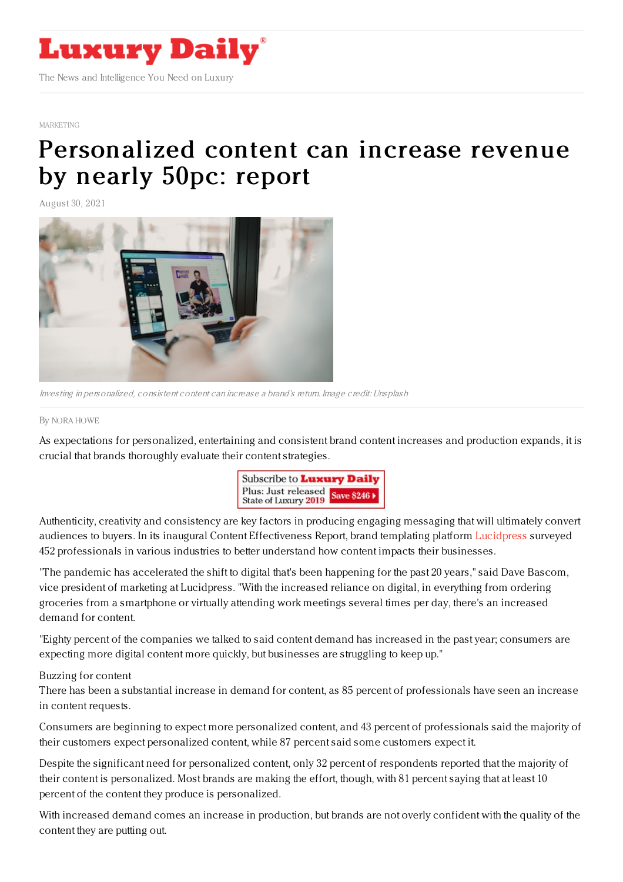

#### [MARKETING](https://www.luxurydaily.com/category/sectors/marketing-industry-sectors/)

# [Personalized](https://www.luxurydaily.com/personalized-content-can-increase-revenue-by-nearly-50pc-report/) content can increase revenue by nearly 50pc: report

August 30, 2021



Investing in personalized, consistent content can increase <sup>a</sup> brand's return. Image credit: Unsplash

#### By NORA [HOWE](file:///author/nora-howe)

As expectations for personalized, entertaining and consistent brand content increases and production expands, it is crucial that brands thoroughly evaluate their content strategies.



Authenticity, creativity and consistency are key factors in producing engaging messaging that will ultimately convert audiences to buyers. In its inaugural Content Effectiveness Report, brand templating platform [Lucidpress](https://www.lucidpress.com/pages/) surveyed 452 professionals in various industries to better understand how content impacts their businesses.

"The pandemic has accelerated the shift to digital that's been happening for the past 20 years," said Dave Bascom, vice president of marketing at Lucidpress. "With the increased reliance on digital, in everything from ordering groceries from a smartphone or virtually attending work meetings several times per day, there's an increased demand for content.

"Eighty percent of the companies we talked to said content demand has increased in the past year; consumers are expecting more digital content more quickly, but businesses are struggling to keep up."

### Buzzing for content

There has been a substantial increase in demand for content, as 85 percent of professionals have seen an increase in content requests.

Consumers are beginning to expect more personalized content, and 43 percent of professionals said the majority of their customers expect personalized content, while 87 percent said some customers expect it.

Despite the significant need for personalized content, only 32 percent of respondents reported that the majority of their content is personalized. Most brands are making the effort, though, with 81 percent saying that at least 10 percent of the content they produce is personalized.

With increased demand comes an increase in production, but brands are not overly confident with the quality of the content they are putting out.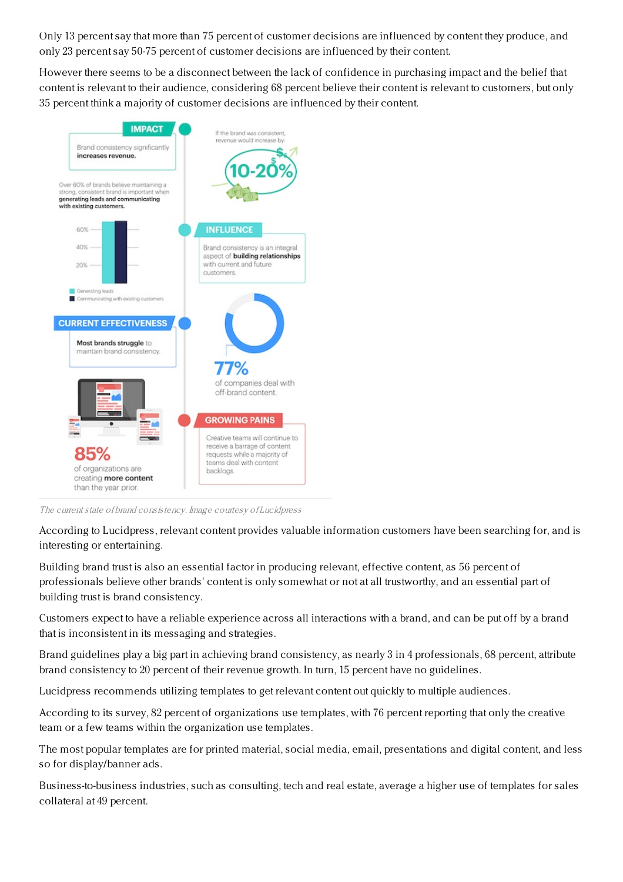Only 13 percent say that more than 75 percent of customer decisions are influenced by content they produce, and only 23 percent say 50-75 percent of customer decisions are influenced by their content.

However there seems to be a disconnect between the lack of confidence in purchasing impact and the belief that content is relevant to their audience, considering 68 percent believe their content is relevant to customers, but only 35 percent think a majority of customer decisions are influenced by their content.



The current state of brand consistency. Image courtesy of Lucidpress

According to Lucidpress, relevant content provides valuable information customers have been searching for, and is interesting or entertaining.

Building brand trust is also an essential factor in producing relevant, effective content, as 56 percent of professionals believe other brands' content is only somewhat or not at all trustworthy, and an essential part of building trust is brand consistency.

Customers expect to have a reliable experience across all interactions with a brand, and can be put off by a brand that is inconsistent in its messaging and strategies.

Brand guidelines play a big part in achieving brand consistency, as nearly 3 in 4 professionals, 68 percent, attribute brand consistency to 20 percent of their revenue growth. In turn, 15 percent have no guidelines.

Lucidpress recommends utilizing templates to get relevant content out quickly to multiple audiences.

According to its survey, 82 percent of organizations use templates, with 76 percent reporting that only the creative team or a few teams within the organization use templates.

The most popular templates are for printed material, social media, email, presentations and digital content, and less so for display/banner ads.

Business-to-business industries, such as consulting, tech and real estate, average a higher use of templates for sales collateral at 49 percent.